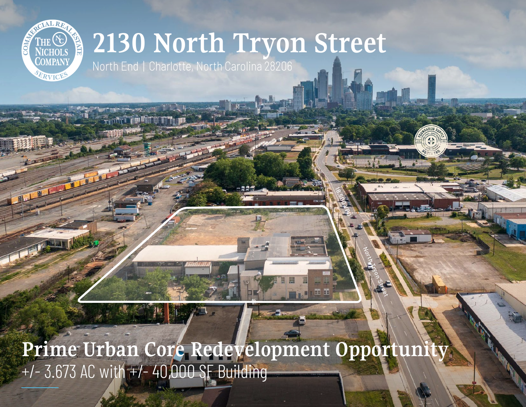

## **2130 North Tryon Street**

North End | Charlotte, North Carolina 28206

**Prime Urban Core Redevelopment Opportunity** +/- 3.673 AC with +/- 40,000 SF Building

North Tryon Street

18,500 VPD